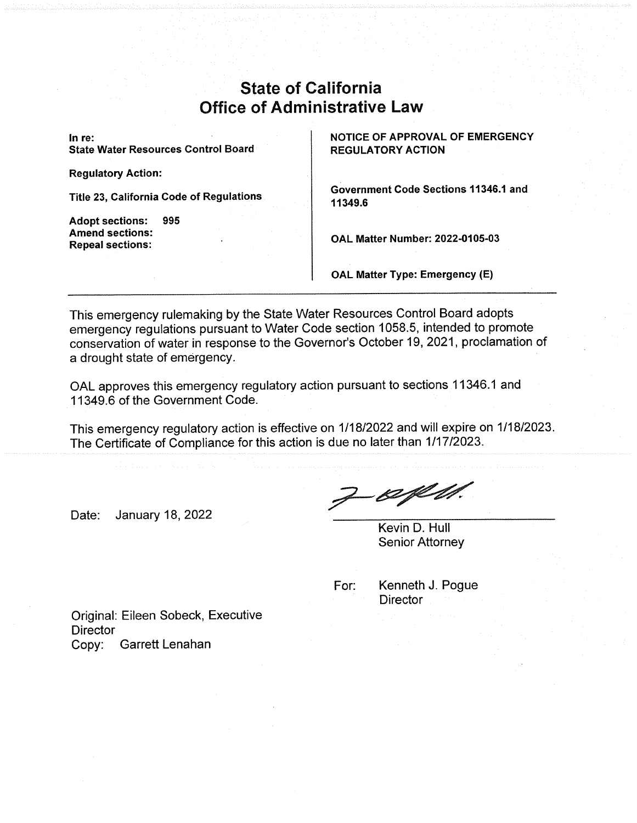## State of California Office of Administrative Law

State Water Resources Control Board

Regulatory Action:

Title 23, California Code of Regulations

Adopt sections: 995 Amend sections: Repeal sections:

In re:<br>
State Water Resources Control Board<br>
REGULATORY ACTION

Government Code Sections 11346.1 and 11349.6

OAL Matter Number: 2022-0105-03

OAL Matter Type: Emergency (E)

This emergency rulemaking by the State Water Resources Control Board adopts emergency regulations pursuant to Water Code section 1058.5, intended to promote conservation of water in response to the Governor's October 19, 2021, proclamation of a drought state of emergency.

OAL approves this emergency regulatory action pursuant to sections 11346.1 and 11349.6 of the Government Code.

This emergency regulatory action is effective on 1/18/2022 and will expire on 1/1812023. The Certificate of Compliance for this action is due no later than 1/17/2023.

Date: January 18, 2022

 $7 - 80$ 

Kevin D. Hull Senior Attorney

| For: | Kenneth J. Pogue |  |  |  |
|------|------------------|--|--|--|
|      | Director         |  |  |  |
|      |                  |  |  |  |

Original: Eileen Sobeck, Executive **Director** Copy: Garrett Lenahan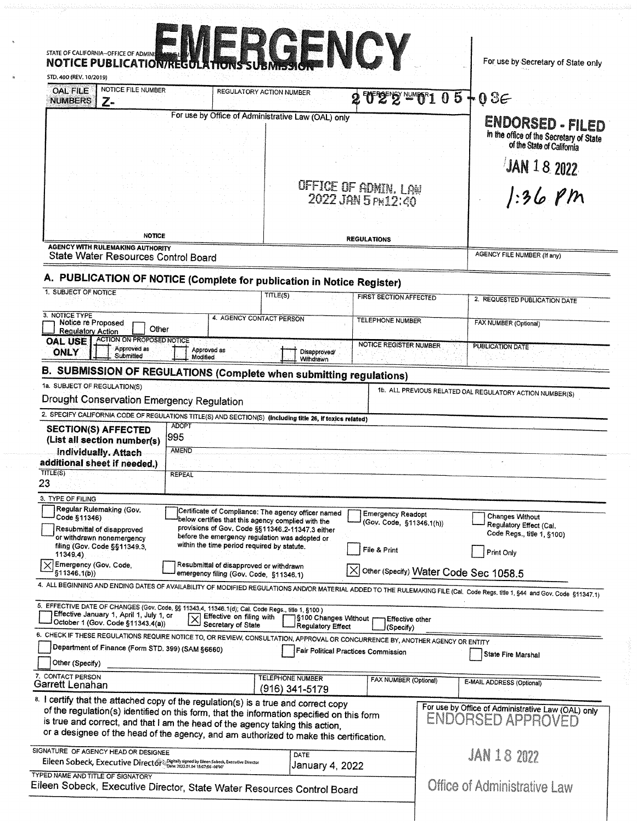| STATE OF CALIFORNIA-OFFICE OF ADMINISTRATION REGULATIONS SUBMISSION<br>STD. 400 (REV. 10/2019)                                                                                                                                                                                                                                                                                                                                                                                                                                         |                                                                                                                                                  |                                                     |                                                      |  | For use by Secretary of State only                                                        |
|----------------------------------------------------------------------------------------------------------------------------------------------------------------------------------------------------------------------------------------------------------------------------------------------------------------------------------------------------------------------------------------------------------------------------------------------------------------------------------------------------------------------------------------|--------------------------------------------------------------------------------------------------------------------------------------------------|-----------------------------------------------------|------------------------------------------------------|--|-------------------------------------------------------------------------------------------|
| NOTICE FILE NUMBER<br><b>OAL FILE</b><br><b>NUMBERS</b><br>$Z-$                                                                                                                                                                                                                                                                                                                                                                                                                                                                        |                                                                                                                                                  | REGULATORY ACTION NUMBER                            | $2522$ and $105 + 036$                               |  |                                                                                           |
|                                                                                                                                                                                                                                                                                                                                                                                                                                                                                                                                        |                                                                                                                                                  | For use by Office of Administrative Law (OAL) only  |                                                      |  | ENDORSED - FILED<br>in the office of the Secretary of State<br>of the State of California |
|                                                                                                                                                                                                                                                                                                                                                                                                                                                                                                                                        |                                                                                                                                                  |                                                     |                                                      |  | JAN 18 2022                                                                               |
|                                                                                                                                                                                                                                                                                                                                                                                                                                                                                                                                        |                                                                                                                                                  |                                                     | Office of ADMIN. Law<br>2022 JAN 5 PH12:40           |  | $1.36$ pm                                                                                 |
| <b>NOTICE</b>                                                                                                                                                                                                                                                                                                                                                                                                                                                                                                                          |                                                                                                                                                  |                                                     | <b>REGULATIONS</b>                                   |  |                                                                                           |
| <b>AGENCY WITH RULEMAKING AUTHORITY</b><br>State Water Resources Control Board                                                                                                                                                                                                                                                                                                                                                                                                                                                         |                                                                                                                                                  |                                                     |                                                      |  | <b>AGENCY FILE NUMBER (If any)</b>                                                        |
| A. PUBLICATION OF NOTICE (Complete for publication in Notice Register)                                                                                                                                                                                                                                                                                                                                                                                                                                                                 |                                                                                                                                                  |                                                     |                                                      |  |                                                                                           |
| 1. SUBJECT OF NOTICE                                                                                                                                                                                                                                                                                                                                                                                                                                                                                                                   |                                                                                                                                                  | TITLE(S)                                            | <b>FIRST SECTION AFFECTED</b>                        |  | 2. REQUESTED PUBLICATION DATE                                                             |
| 3. NOTICE TYPE<br>Notice re Proposed<br>Other<br><b>Regulatory Action</b>                                                                                                                                                                                                                                                                                                                                                                                                                                                              |                                                                                                                                                  | 4. AGENCY CONTACT PERSON                            | <b>TELEPHONE NUMBER</b>                              |  | FAX NUMBER (Optional)                                                                     |
| ACTION ON PROPOSED NOTICE<br>OAL USE<br>Approved as<br><b>ONLY</b><br>Submitted                                                                                                                                                                                                                                                                                                                                                                                                                                                        | Approved as<br>Modified                                                                                                                          | Disapproved/                                        | <b>NOTICE REGISTER NUMBER</b>                        |  | <b>PUBLICATION DATE</b>                                                                   |
| B. SUBMISSION OF REGULATIONS (Complete when submitting regulations)                                                                                                                                                                                                                                                                                                                                                                                                                                                                    |                                                                                                                                                  | Withdrawn                                           |                                                      |  |                                                                                           |
| <b>SECTION(S) AFFECTED</b><br>(List all section number(s)<br>individually. Attach<br>additional sheet if needed.)                                                                                                                                                                                                                                                                                                                                                                                                                      | 2. SPECIFY CALIFORNIA CODE OF REGULATIONS TITLE(S) AND SECTION(S) (Including title 26, if toxics related)<br><b>ADOPT</b><br>995<br><b>AMEND</b> |                                                     |                                                      |  |                                                                                           |
| <b>TITLE(S)</b><br>23                                                                                                                                                                                                                                                                                                                                                                                                                                                                                                                  | <b>REPEAL</b>                                                                                                                                    |                                                     |                                                      |  |                                                                                           |
| 3. TYPE OF FILING                                                                                                                                                                                                                                                                                                                                                                                                                                                                                                                      |                                                                                                                                                  |                                                     |                                                      |  |                                                                                           |
| Regular Rulemaking (Gov.<br>Code §11346)                                                                                                                                                                                                                                                                                                                                                                                                                                                                                               | below certifies that this agency complied with the<br>provisions of Gov. Code §§11346.2-11347.3 either                                           | Certificate of Compliance: The agency officer named | <b>Emergency Readopt</b><br>(Gov. Code, §11346.1(h)) |  | <b>Changes Without</b><br>Regulatory Effect (Cal.                                         |
| Resubmittal of disapproved<br>or withdrawn nonemergency<br>filing (Gov. Code §§11349.3.<br>11349.4)                                                                                                                                                                                                                                                                                                                                                                                                                                    | before the emergency regulation was adopted or<br>within the time period required by statute.                                                    |                                                     | File & Print                                         |  | Code Regs., title 1, §100)<br>Print Only                                                  |
| Emergency (Gov. Code,<br>§11346.1(b))                                                                                                                                                                                                                                                                                                                                                                                                                                                                                                  | Resubmittal of disapproved or withdrawn<br>emergency filing (Gov. Code, §11346.1)                                                                |                                                     | Other (Specify) Water Code Sec 1058.5                |  |                                                                                           |
|                                                                                                                                                                                                                                                                                                                                                                                                                                                                                                                                        |                                                                                                                                                  |                                                     |                                                      |  |                                                                                           |
| Effective January 1, April 1, July 1, or<br>October 1 (Gov. Code §11343.4(a))                                                                                                                                                                                                                                                                                                                                                                                                                                                          | Effective on filing with<br>Secretary of State                                                                                                   | §100 Changes Without r<br>Regulatory Effect         | Effective other<br>(Specify)                         |  |                                                                                           |
| 4. ALL BEGINNING AND ENDING DATES OF AVAILABILITY OF MODIFIED REGULATIONS AND/OR MATERIAL ADDED TO THE RULEMAKING FILE (Cal. Code Regs. title 1, §44 and Gov. Code §11347.1)<br>5. EFFECTIVE DATE OF CHANGES (Gov. Code, §§ 11343.4, 11346.1(d); Cal. Code Regs., title 1, §100)<br>6. CHECK IF THESE REGULATIONS REQUIRE NOTICE TO, OR REVIEW, CONSULTATION, APPROVAL OR CONCURRENCE BY, ANOTHER AGENCY OR ENTITY<br>Department of Finance (Form STD. 399) (SAM §6660)<br>Other (Specify)                                             |                                                                                                                                                  |                                                     | <b>Fair Political Practices Commission</b>           |  | State Fire Marshal                                                                        |
|                                                                                                                                                                                                                                                                                                                                                                                                                                                                                                                                        |                                                                                                                                                  | <b>TELEPHONE NUMBER</b>                             | FAX NUMBER (Optional)                                |  | E-MAIL ADDRESS (Optional)                                                                 |
|                                                                                                                                                                                                                                                                                                                                                                                                                                                                                                                                        |                                                                                                                                                  | (916) 341-5179                                      |                                                      |  | ENDORSED APPROVED                                                                         |
| 7. CONTACT PERSON<br>Garrett Lenahan<br>8. I certify that the attached copy of the regulation(s) is a true and correct copy<br>of the regulation(s) identified on this form, that the information specified on this form<br>is true and correct, and that I am the head of the agency taking this action,<br>or a designee of the head of the agency, and am authorized to make this certification.<br>SIGNATURE OF AGENCY HEAD OR DESIGNEE<br>Eileen Sobeck, Executive Director Spighally signed by Elieen Sobeck, Executive Director |                                                                                                                                                  | DATE<br>January 4, 2022                             |                                                      |  | For use by Office of Administrative Law (OAL) only<br><b>JAN 18 2022</b>                  |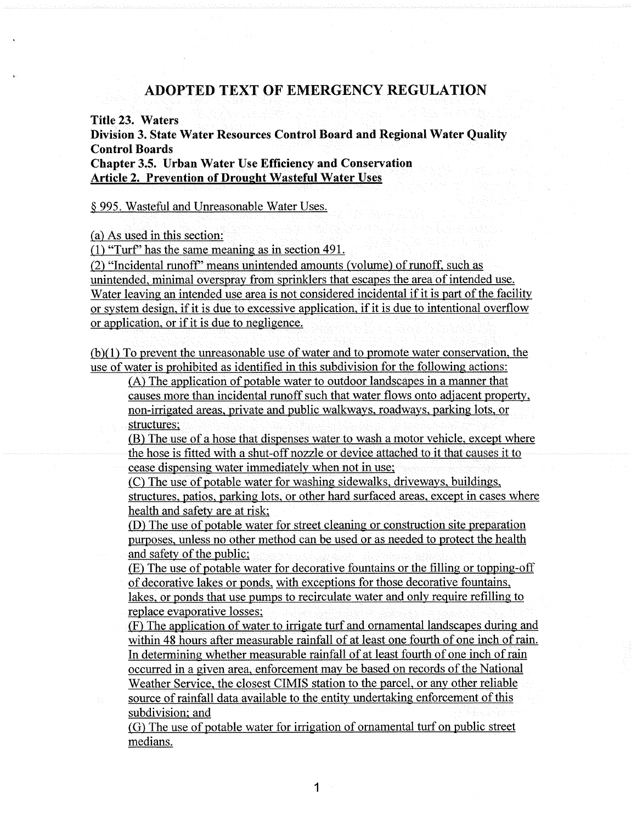## ADOPTED TEXT OF EMERGENCY REGULATION

Title 23. Waters

Division 3. State Water Resources Control. Board and Regional Water Quality Control Boards

Chapter 3.5. Urban Water Use Efficiency and Conservation **Article 2. Prevention of Drought Wasteful Water Uses** 

§ 995. Wasteful and Unreasonable Water Uses.

~a) As used in this section:

 $(1)$  "Turf" has the same meaning as in section 491.

(2) "Incidental runoff" means unintended amounts (volume) of runoff, such as unintended, minimal overspray from sprinklers that escapes the area of intended use. Water leaving an intended use area is not considered incidental if it is part of the facility or system design, if it is due to excessive application, if it is due to intentional overflow or application, or if it is due to negligence.

 $(b)(1)$  To prevent the unreasonable use of water and to promote water conservation, the use of water is prohibited as identified in this subdivision for the following actions:

(A) The application of potable water to outdoor landscapes in a manner that causes more than incidental runoff such that water flows onto adjacent property .non-irrigated areas, private and public walkways, roadways, parking; lots, or structures:

(B) The use of a hose that dispenses water to wash a motor vehicle, except where the hose is fitted with a shut-off nozzle or device attached to it that causes it to cease dispensing water immediately when not in use;

(C) The use of potable water for washing sidewalks, driveways, buildings, structures, patios, parking lots, or other hard surfaced areas, except in cases where health and safety are at risk;

 $(D)$  The use of potable water for street cleaning or construction site preparation purposes, unless no other method can be used or as needed to protect the health and safety of the public:

 $(E)$  The use of potable water for decorative fountains or the filling or topping-off of decorative lakes or ponds, with exceptions for those decorative fountains, lakes, or ponds that use pumps to recirculate water and only require refilling to replace evaporative losses;

(F) The application of water to irrigate turf and ornamental landscapes during and within 48 hours after measurable rainfall of at least one fourth of one inch of rain. In determining whether measurable rainfall of at least fourth of one inch of rain occurred in a given area, enforcement may be based on records of the National Weather Service, the closest CIMIS station to the parcel, or any other reliable source of rainfall data available to the entity undertaking enforcement of this

subdivision; and

(G) The use of potable water for irrigation of ornamental turf on public street medians.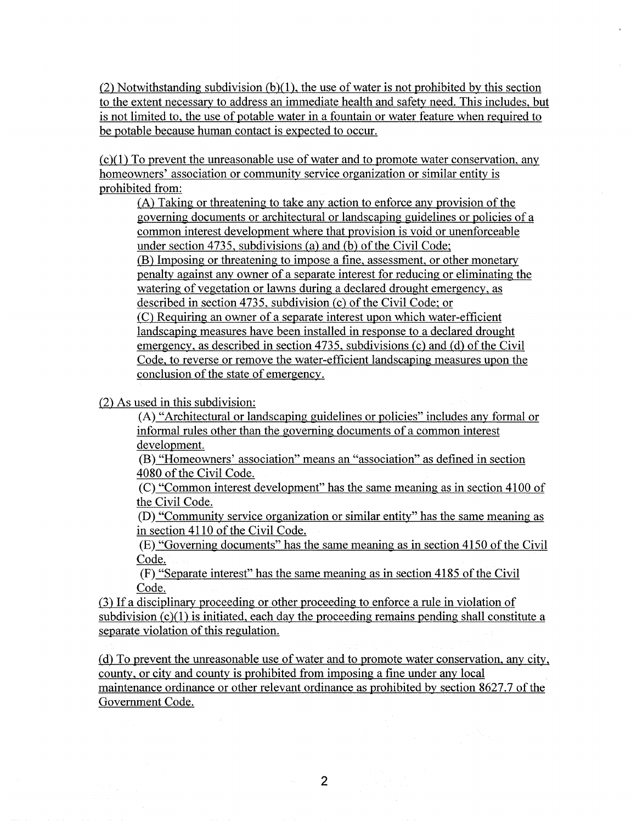(2) Notwithstanding subdivision (b)(1), the use of water is not prohibited by this section to the extent necessary to address an immediate health and safety need. This includes, but is not limited to, the use of potable water in a fountain or water feature when required to be potable because human contact is expected to occur.

 $(c)(1)$  To prevent the unreasonable use of water and to promote water conservation, any homeowners' association or community service organization or similar entity is prohibited from:

 $(A)$  Taking or threatening to take any action to enforce any provision of the governing- documents or architectural or landscapingguidelines or policies of a common interest development where that provision is void or unenforceable under section 4735, subdivisions (a) and (b) of the Civil Code; (B) Imposing or threatening to impose a fine, assessment, or other monetary penalty against any owner of a separate interest for reducing or eliminating the watering of vegetation or lawns during a declared drought emergency, as described in section 4735, subdivision (c) of the Civil Code; or (C) Requiring an owner of a separate interest upon which water-efficient landscaping measures have been installed in response to a declared drought emergency, as described in section 4735, subdivisions (c) and (d) of the Civil Code, to reverse or remove the water-efficient landscaping measures upon the conclusion of the state of emergency.

(2) As used in this subdivision:

the con-

 $(A)$  "Architectural or landscaping guidelines or policies" includes any formal or informal rules other than the governing documents of a common interest development.

(B) "Homeowners' association" means an "association" as defined in section 4080 of the Civil Code.

(C) "Common interest development" has the same meaning as in section 4100 of the Civil Code.

(D} "Community service organization or similar entity" has the same meaning as in section 4110 of the Civil Code.

(E) "Governing documents" has the same meaning as in section 4150 of the Civil Code.

(F) "Separate interest" has the same meaning as in section 4185 of the Civil Code.

 $(3)$  If a disciplinary proceeding or other proceeding to enforce a rule in violation of subdivision  $(c)(1)$  is initiated, each day the proceeding remains pending shall constitute a separate violation of this regulation.

(d) To prevent the unreasonable use of water and to promote water conservation, any city, county, or city and county is prohibited from imposing a fine under any local maintenance ordinance or other relevant ordinance as prohibited by section 8627.7 of the Government Code.